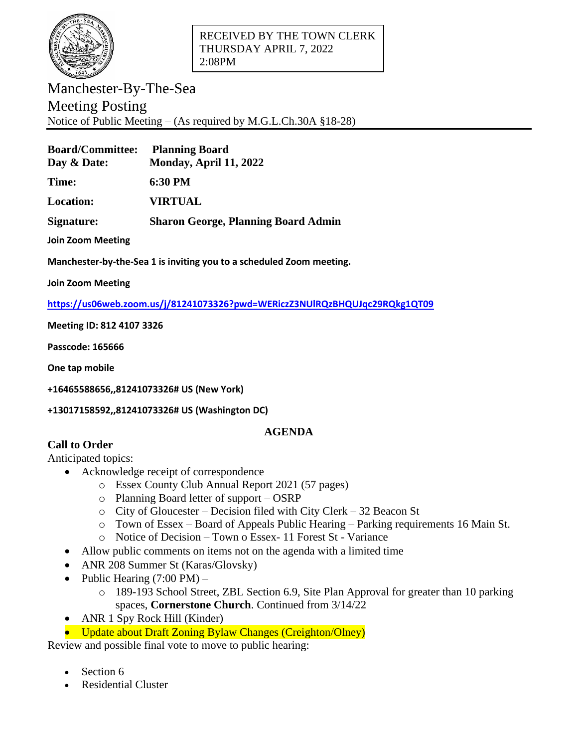

Manchester-By-The-Sea Meeting Posting Notice of Public Meeting – (As required by M.G.L.Ch.30A §18-28)

| <b>Board/Committee:</b><br>Day & Date: | <b>Planning Board</b><br>Monday, April 11, 2022 |
|----------------------------------------|-------------------------------------------------|
| <b>Time:</b>                           | 6:30 PM                                         |
| <b>Location:</b>                       | <b>VIRTUAL</b>                                  |
| Signature:                             | <b>Sharon George, Planning Board Admin</b>      |
|                                        |                                                 |

**Join Zoom Meeting**

**Manchester-by-the-Sea 1 is inviting you to a scheduled Zoom meeting.**

**Join Zoom Meeting**

**<https://us06web.zoom.us/j/81241073326?pwd=WERiczZ3NUlRQzBHQUJqc29RQkg1QT09>**

**Meeting ID: 812 4107 3326**

**Passcode: 165666**

**One tap mobile**

**+16465588656,,81241073326# US (New York)**

## **+13017158592,,81241073326# US (Washington DC)**

## **AGENDA**

## **Call to Order**

Anticipated topics:

- Acknowledge receipt of correspondence
	- o Essex County Club Annual Report 2021 (57 pages)
	- o Planning Board letter of support OSRP
	- o City of Gloucester Decision filed with City Clerk 32 Beacon St
	- o Town of Essex Board of Appeals Public Hearing Parking requirements 16 Main St.
	- o Notice of Decision Town o Essex- 11 Forest St Variance
- Allow public comments on items not on the agenda with a limited time
- ANR 208 Summer St (Karas/Glovsky)
- Public Hearing  $(7:00 \text{ PM})$ 
	- o 189-193 School Street, ZBL Section 6.9, Site Plan Approval for greater than 10 parking spaces, **Cornerstone Church**. Continued from 3/14/22
- ANR 1 Spy Rock Hill (Kinder)
- Update about Draft Zoning Bylaw Changes (Creighton/Olney)

Review and possible final vote to move to public hearing:

- Section 6
- Residential Cluster